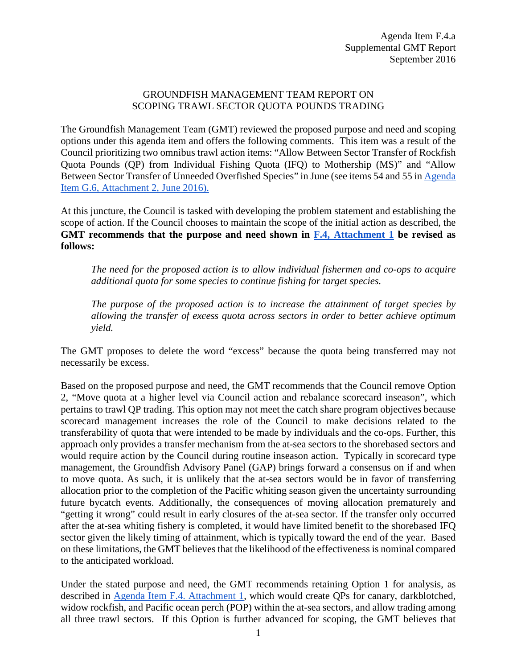#### GROUNDFISH MANAGEMENT TEAM REPORT ON SCOPING TRAWL SECTOR QUOTA POUNDS TRADING

The Groundfish Management Team (GMT) reviewed the proposed purpose and need and scoping options under this agenda item and offers the following comments. This item was a result of the Council prioritizing two omnibus trawl action items: "Allow Between Sector Transfer of Rockfish Quota Pounds (QP) from Individual Fishing Quota (IFQ) to Mothership (MS)" and "Allow Between Sector Transfer of Unneeded Overfished Species" in June (see items 54 and 55 i[n Agenda](http://www.pcouncil.org/wp-content/uploads/2016/06/G6_Att2_List_MM_for_Consideration_Final_JUN2016BB.pdf)  [Item G.6, Attachment 2, June 2016\).](http://www.pcouncil.org/wp-content/uploads/2016/06/G6_Att2_List_MM_for_Consideration_Final_JUN2016BB.pdf) 

At this juncture, the Council is tasked with developing the problem statement and establishing the scope of action. If the Council chooses to maintain the scope of the initial action as described, the **GMT recommends that the purpose and need shown in F.4, [Attachment 1](http://www.pcouncil.org/wp-content/uploads/2016/08/F4_Att1_QP_Trading_SEPT2016BB.pdf) be revised as follows:** 

*The need for the proposed action is to allow individual fishermen and co-ops to acquire additional quota for some species to continue fishing for target species.* 

*The purpose of the proposed action is to increase the attainment of target species by allowing the transfer of excess quota across sectors in order to better achieve optimum yield.*

The GMT proposes to delete the word "excess" because the quota being transferred may not necessarily be excess.

Based on the proposed purpose and need, the GMT recommends that the Council remove Option 2, "Move quota at a higher level via Council action and rebalance scorecard inseason", which pertains to trawl QP trading. This option may not meet the catch share program objectives because scorecard management increases the role of the Council to make decisions related to the transferability of quota that were intended to be made by individuals and the co-ops. Further, this approach only provides a transfer mechanism from the at-sea sectors to the shorebased sectors and would require action by the Council during routine inseason action. Typically in scorecard type management, the Groundfish Advisory Panel (GAP) brings forward a consensus on if and when to move quota. As such, it is unlikely that the at-sea sectors would be in favor of transferring allocation prior to the completion of the Pacific whiting season given the uncertainty surrounding future bycatch events. Additionally, the consequences of moving allocation prematurely and "getting it wrong" could result in early closures of the at-sea sector. If the transfer only occurred after the at-sea whiting fishery is completed, it would have limited benefit to the shorebased IFQ sector given the likely timing of attainment, which is typically toward the end of the year. Based on these limitations, the GMT believes that the likelihood of the effectiveness is nominal compared to the anticipated workload.

Under the stated purpose and need, the GMT recommends retaining Option 1 for analysis, as described in [Agenda Item F.4. Attachment 1,](http://www.pcouncil.org/wp-content/uploads/2016/08/F4_Att1_QP_Trading_SEPT2016BB.pdf) which would create QPs for canary, darkblotched, widow rockfish, and Pacific ocean perch (POP) within the at-sea sectors, and allow trading among all three trawl sectors. If this Option is further advanced for scoping, the GMT believes that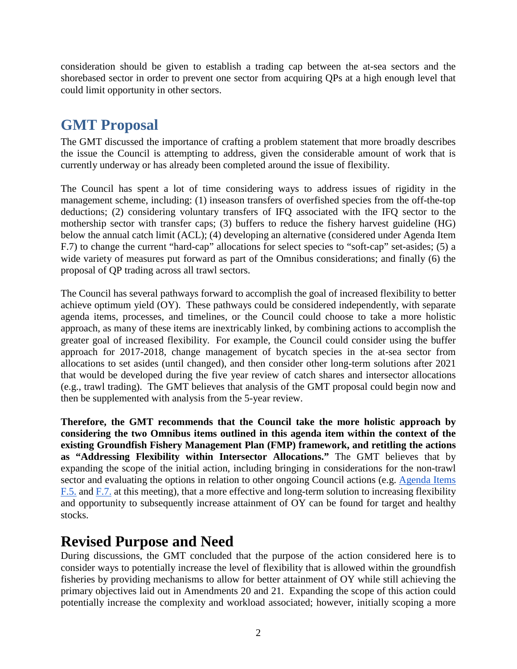consideration should be given to establish a trading cap between the at-sea sectors and the shorebased sector in order to prevent one sector from acquiring QPs at a high enough level that could limit opportunity in other sectors.

## **GMT Proposal**

The GMT discussed the importance of crafting a problem statement that more broadly describes the issue the Council is attempting to address, given the considerable amount of work that is currently underway or has already been completed around the issue of flexibility.

The Council has spent a lot of time considering ways to address issues of rigidity in the management scheme, including: (1) inseason transfers of overfished species from the off-the-top deductions; (2) considering voluntary transfers of IFQ associated with the IFQ sector to the mothership sector with transfer caps; (3) buffers to reduce the fishery harvest guideline (HG) below the annual catch limit (ACL); (4) developing an alternative (considered under Agenda Item F.7) to change the current "hard-cap" allocations for select species to "soft-cap" set-asides; (5) a wide variety of measures put forward as part of the Omnibus considerations; and finally (6) the proposal of QP trading across all trawl sectors.

The Council has several pathways forward to accomplish the goal of increased flexibility to better achieve optimum yield (OY). These pathways could be considered independently, with separate agenda items, processes, and timelines, or the Council could choose to take a more holistic approach, as many of these items are inextricably linked, by combining actions to accomplish the greater goal of increased flexibility. For example, the Council could consider using the buffer approach for 2017-2018, change management of bycatch species in the at-sea sector from allocations to set asides (until changed), and then consider other long-term solutions after 2021 that would be developed during the five year review of catch shares and intersector allocations (e.g., trawl trading). The GMT believes that analysis of the GMT proposal could begin now and then be supplemented with analysis from the 5-year review.

**Therefore, the GMT recommends that the Council take the more holistic approach by considering the two Omnibus items outlined in this agenda item within the context of the existing Groundfish Fishery Management Plan (FMP) framework, and retitling the actions as "Addressing Flexibility within Intersector Allocations."** The GMT believes that by expanding the scope of the initial action, including bringing in considerations for the non-trawl sector and evaluating the options in relation to other ongoing Council actions (e.g. [Agenda Items](http://www.pcouncil.org/wp-content/uploads/2016/08/F5__SitSum_5YrRev_SEPT2016BB.pdf)  [F.5.](http://www.pcouncil.org/wp-content/uploads/2016/08/F5__SitSum_5YrRev_SEPT2016BB.pdf) and [F.7.](http://www.pcouncil.org/wp-content/uploads/2016/08/F7__SitSum_AtSeaSetAsides_SEPT2016BB.pdf) at this meeting), that a more effective and long-term solution to increasing flexibility and opportunity to subsequently increase attainment of OY can be found for target and healthy stocks.

### **Revised Purpose and Need**

During discussions, the GMT concluded that the purpose of the action considered here is to consider ways to potentially increase the level of flexibility that is allowed within the groundfish fisheries by providing mechanisms to allow for better attainment of OY while still achieving the primary objectives laid out in Amendments 20 and 21. Expanding the scope of this action could potentially increase the complexity and workload associated; however, initially scoping a more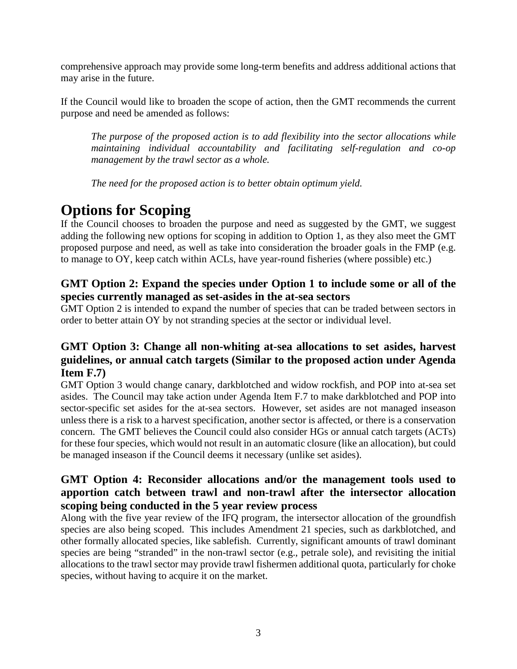comprehensive approach may provide some long-term benefits and address additional actions that may arise in the future.

If the Council would like to broaden the scope of action, then the GMT recommends the current purpose and need be amended as follows:

*The purpose of the proposed action is to add flexibility into the sector allocations while maintaining individual accountability and facilitating self-regulation and co-op management by the trawl sector as a whole.*

*The need for the proposed action is to better obtain optimum yield.*

# **Options for Scoping**

If the Council chooses to broaden the purpose and need as suggested by the GMT, we suggest adding the following new options for scoping in addition to Option 1, as they also meet the GMT proposed purpose and need, as well as take into consideration the broader goals in the FMP (e.g. to manage to OY, keep catch within ACLs, have year-round fisheries (where possible) etc.)

#### **GMT Option 2: Expand the species under Option 1 to include some or all of the species currently managed as set-asides in the at-sea sectors**

GMT Option 2 is intended to expand the number of species that can be traded between sectors in order to better attain OY by not stranding species at the sector or individual level.

### **GMT Option 3: Change all non-whiting at-sea allocations to set asides, harvest guidelines, or annual catch targets (Similar to the proposed action under Agenda Item F.7)**

GMT Option 3 would change canary, darkblotched and widow rockfish, and POP into at-sea set asides. The Council may take action under Agenda Item F.7 to make darkblotched and POP into sector-specific set asides for the at-sea sectors. However, set asides are not managed inseason unless there is a risk to a harvest specification, another sector is affected, or there is a conservation concern. The GMT believes the Council could also consider HGs or annual catch targets (ACTs) for these four species, which would not result in an automatic closure (like an allocation), but could be managed inseason if the Council deems it necessary (unlike set asides).

#### **GMT Option 4: Reconsider allocations and/or the management tools used to apportion catch between trawl and non-trawl after the intersector allocation scoping being conducted in the 5 year review process**

Along with the five year review of the IFQ program, the intersector allocation of the groundfish species are also being scoped. This includes Amendment 21 species, such as darkblotched, and other formally allocated species, like sablefish. Currently, significant amounts of trawl dominant species are being "stranded" in the non-trawl sector (e.g., petrale sole), and revisiting the initial allocations to the trawl sector may provide trawl fishermen additional quota, particularly for choke species, without having to acquire it on the market.